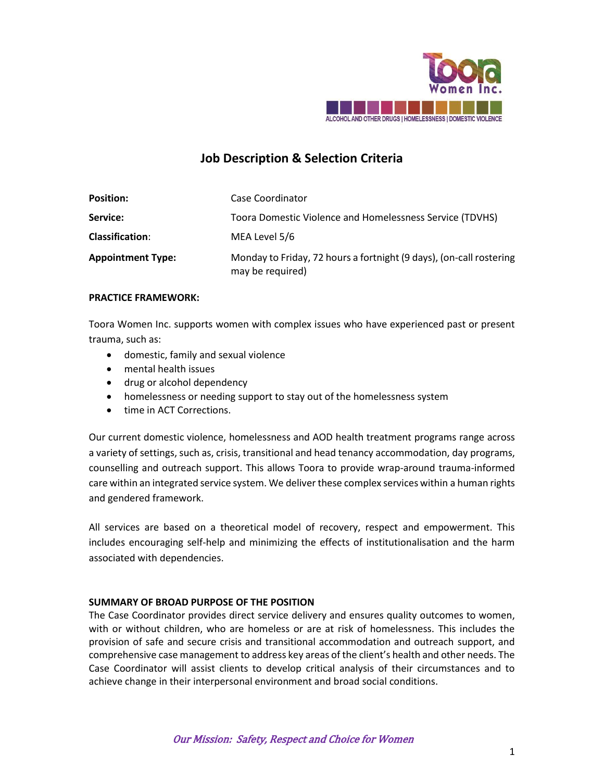

# **Job Description & Selection Criteria**

| <b>Position:</b>         | Case Coordinator                                                                        |
|--------------------------|-----------------------------------------------------------------------------------------|
| Service:                 | Toora Domestic Violence and Homelessness Service (TDVHS)                                |
| <b>Classification:</b>   | MEA Level 5/6                                                                           |
| <b>Appointment Type:</b> | Monday to Friday, 72 hours a fortnight (9 days), (on-call rostering<br>may be required) |

## **PRACTICE FRAMEWORK:**

Toora Women Inc. supports women with complex issues who have experienced past or present trauma, such as:

- domestic, family and sexual violence
- mental health issues
- drug or alcohol dependency
- homelessness or needing support to stay out of the homelessness system
- time in ACT Corrections.

Our current domestic violence, homelessness and AOD health treatment programs range across a variety of settings, such as, crisis, transitional and head tenancy accommodation, day programs, counselling and outreach support. This allows Toora to provide wrap-around trauma-informed care within an integrated service system. We deliver these complex services within a human rights and gendered framework.

All services are based on a theoretical model of recovery, respect and empowerment. This includes encouraging self-help and minimizing the effects of institutionalisation and the harm associated with dependencies.

## **SUMMARY OF BROAD PURPOSE OF THE POSITION**

The Case Coordinator provides direct service delivery and ensures quality outcomes to women, with or without children, who are homeless or are at risk of homelessness. This includes the provision of safe and secure crisis and transitional accommodation and outreach support, and comprehensive case management to address key areas of the client's health and other needs. The Case Coordinator will assist clients to develop critical analysis of their circumstances and to achieve change in their interpersonal environment and broad social conditions.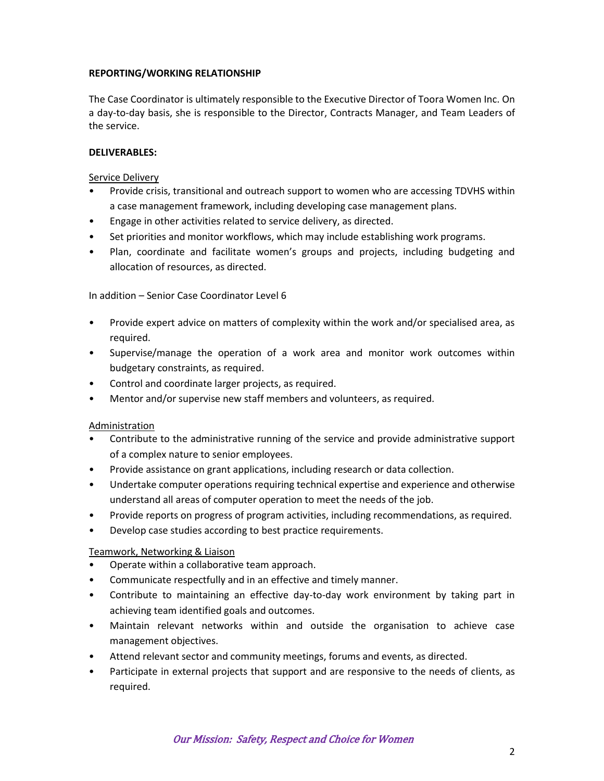# **REPORTING/WORKING RELATIONSHIP**

The Case Coordinator is ultimately responsible to the Executive Director of Toora Women Inc. On a day-to-day basis, she is responsible to the Director, Contracts Manager, and Team Leaders of the service.

# **DELIVERABLES:**

#### Service Delivery

- Provide crisis, transitional and outreach support to women who are accessing TDVHS within a case management framework, including developing case management plans.
- Engage in other activities related to service delivery, as directed.
- Set priorities and monitor workflows, which may include establishing work programs.
- Plan, coordinate and facilitate women's groups and projects, including budgeting and allocation of resources, as directed.

## In addition – Senior Case Coordinator Level 6

- Provide expert advice on matters of complexity within the work and/or specialised area, as required.
- Supervise/manage the operation of a work area and monitor work outcomes within budgetary constraints, as required.
- Control and coordinate larger projects, as required.
- Mentor and/or supervise new staff members and volunteers, as required.

## Administration

- Contribute to the administrative running of the service and provide administrative support of a complex nature to senior employees.
- Provide assistance on grant applications, including research or data collection.
- Undertake computer operations requiring technical expertise and experience and otherwise understand all areas of computer operation to meet the needs of the job.
- Provide reports on progress of program activities, including recommendations, as required.
- Develop case studies according to best practice requirements.

## Teamwork, Networking & Liaison

- Operate within a collaborative team approach.
- Communicate respectfully and in an effective and timely manner.
- Contribute to maintaining an effective day-to-day work environment by taking part in achieving team identified goals and outcomes.
- Maintain relevant networks within and outside the organisation to achieve case management objectives.
- Attend relevant sector and community meetings, forums and events, as directed.
- Participate in external projects that support and are responsive to the needs of clients, as required.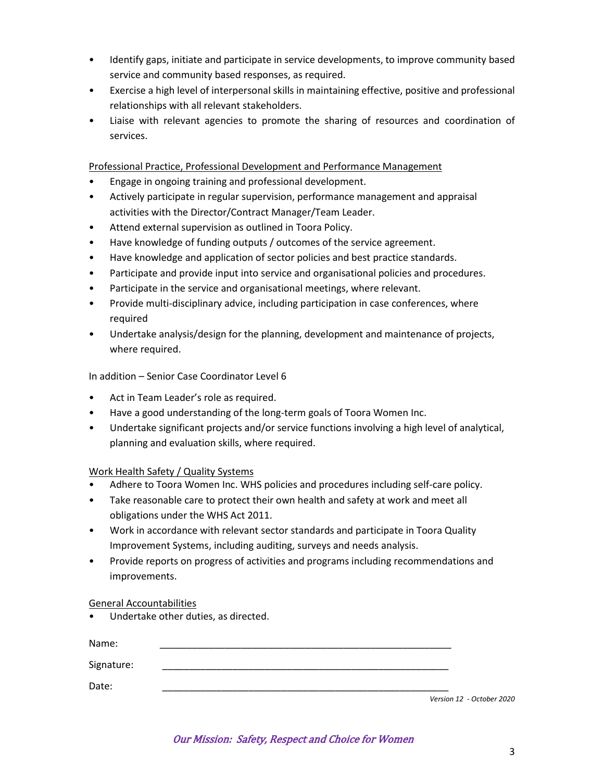- Identify gaps, initiate and participate in service developments, to improve community based service and community based responses, as required.
- Exercise a high level of interpersonal skills in maintaining effective, positive and professional relationships with all relevant stakeholders.
- Liaise with relevant agencies to promote the sharing of resources and coordination of services.

Professional Practice, Professional Development and Performance Management

- Engage in ongoing training and professional development.
- Actively participate in regular supervision, performance management and appraisal activities with the Director/Contract Manager/Team Leader.
- Attend external supervision as outlined in Toora Policy.
- Have knowledge of funding outputs / outcomes of the service agreement.
- Have knowledge and application of sector policies and best practice standards.
- Participate and provide input into service and organisational policies and procedures.
- Participate in the service and organisational meetings, where relevant.
- Provide multi-disciplinary advice, including participation in case conferences, where required
- Undertake analysis/design for the planning, development and maintenance of projects, where required.

In addition – Senior Case Coordinator Level 6

- Act in Team Leader's role as required.
- Have a good understanding of the long-term goals of Toora Women Inc.
- Undertake significant projects and/or service functions involving a high level of analytical, planning and evaluation skills, where required.

## Work Health Safety / Quality Systems

- Adhere to Toora Women Inc. WHS policies and procedures including self-care policy.
- Take reasonable care to protect their own health and safety at work and meet all obligations under the WHS Act 2011.
- Work in accordance with relevant sector standards and participate in Toora Quality Improvement Systems, including auditing, surveys and needs analysis.
- Provide reports on progress of activities and programs including recommendations and improvements.

## General Accountabilities

• Undertake other duties, as directed.

| Name:      |                           |
|------------|---------------------------|
| Signature: |                           |
| Date:      |                           |
|            | Version 12 - October 2020 |

Our Mission: Safety, Respect and Choice for Women